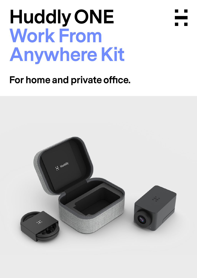# **Huddly ONE Work From Anywhere Kit**



## **For home and private office.**

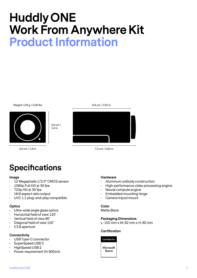# **Huddly ONE Work From Anywhere Kit Product Information**

#### Weight: 120 g / 0.26 lbs



3.5 cm / 1.4 in

4.0 cm / 1.6 in



7.2 cm / 2.82 in

### **Specifications**

#### **Image**

- 12 Megapixels 1/2.3" CMOS sensor
- $\cdot$  1080p Full HD @ 30 fps
- $\cdot$  720p HD @ 30 fps
- 16:9 aspect ratio output
- UVC 1.1 plug-and-play compatible

### **Optics**

- Ultra-wide angle glass optics
- Horizontal field of view 120˚
- Vertical field of view 90˚
- Diagonal field of view 150˚
- $\cdot$  f/2.8 aperture

### **Connectivity**

- USB Type-C connector
- SuperSpeed USB 3
- HighSpeed USB 2
- Power requirement 5V 900mA

### **Hardware**

- Aluminum unibody construction
- High-performance video processing engine
- Neural compute engine
- Embedded mounting hinge
- Camera tripod mount

### **Color**

Matte Black

### **Packaging Dimensions**

L: 102 mm x W: 82 mm x H: 80 mm

### **Certification**

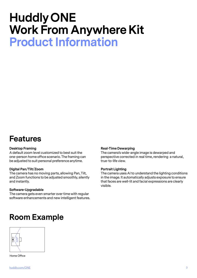# **Huddly ONE Work From Anywhere Kit Product Information**

### **Features**

### **Desktop Framing**

A default zoom level customized to best suit the one-person home office scenario. The framing can be adjusted to suit personal preference anytime.

### **Digital Pan/Tilt/Zoom**

The camera has no moving parts, allowing Pan, Tilt, and Zoom functions to be adjusted smoothly, silently and instantly.

### **Software-Upgradable**

The camera gets even smarter over time with regular software enhancements and new intelligent features.

### **Room Example**



Home Office

### **Real-Time Dewarping**

The camera's wide-angle image is dewarped and perspective corrected in real time, rendering a natural, true-to-life view.

#### **Portrait Lighting**

The camera uses AI to understand the lighting conditions in the image. It automatically adjusts exposure to ensure that faces are well-lit and facial expressions are clearly visible.